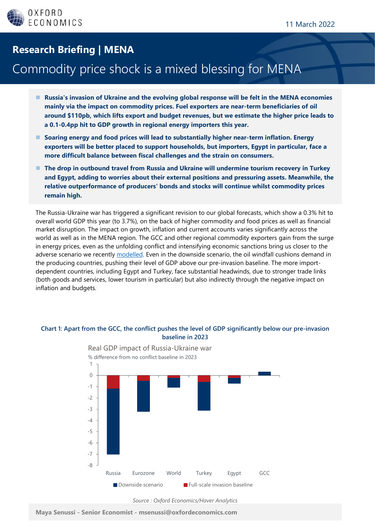## **Research Briefing | MENA**

## Commodity price shock is a mixed blessing for MENA

- ◼ **Russia's invasion of Ukraine and the evolving global response will be felt in the MENA economies mainly via the impact on commodity prices. Fuel exporters are near-term beneficiaries of oil around \$110pb, which lifts export and budget revenues, but we estimate the higher price leads to a 0.1-0.4pp hit to GDP growth in regional energy importers this year.**
- Soaring energy and food prices will lead to substantially higher near-term inflation. Energy **exporters will be better placed to support households, but importers, Egypt in particular, face a more difficult balance between fiscal challenges and the strain on consumers.**
- The drop in outbound travel from Russia and Ukraine will undermine tourism recovery in Turkey **and Egypt, adding to worries about their external positions and pressuring assets. Meanwhile, the relative outperformance of producers' bonds and stocks will continue whilst commodity prices remain high.**

The Russia-Ukraine war has triggered a significant revision to our global forecasts, which show a 0.3% hit to overall world GDP this year (to 3.7%), on the back of higher commodity and food prices as well as financial market disruption. The impact on growth, inflation and current accounts varies significantly across the world as well as in the MENA region. The GCC and other regional commodity exporters gain from the surge in energy prices, even as the unfolding conflict and intensifying economic sanctions bring us closer to the adverse scenario we recently [modelled.](https://my.oxfordeconomics.com/reportaction/7a73A9EdaaA7452c80e743/Toc) Even in the downside scenario, the oil windfall cushions demand in the producing countries, pushing their level of GDP above our pre-invasion baseline. The more importdependent countries, including Egypt and Turkey, face substantial headwinds, due to stronger trade links (both goods and services, lower tourism in particular) but also indirectly through the negative impact on inflation and budgets.



#### **Chart 1: Apart from the GCC, the conflict pushes the level of GDP significantly below our pre-invasion baseline in 2023**

**Maya Senussi - Senior Economist - msenussi@oxfordeconomics.com**

*Source : Oxford Economics/Haver Analytics*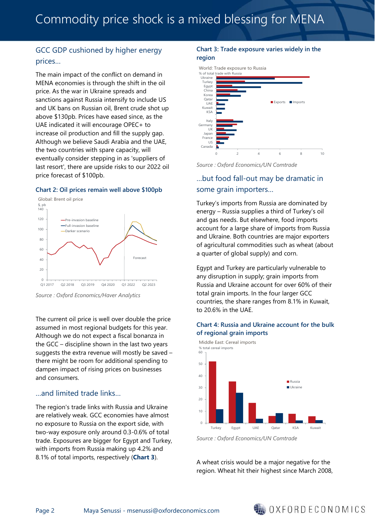## GCC GDP cushioned by higher energy prices…

The main impact of the conflict on demand in MENA economies is through the shift in the oil price. As the war in Ukraine spreads and sanctions against Russia intensify to include US and UK bans on Russian oil, Brent crude shot up above \$130pb. Prices have eased since, as the UAE indicated it will encourage OPEC+ to increase oil production and fill the supply gap. Although we believe Saudi Arabia and the UAE, the two countries with spare capacity, will eventually consider stepping in as 'suppliers of last resort', there are upside risks to our 2022 oil price forecast of \$100pb.

#### **Chart 2: Oil prices remain well above \$100pb**



*Source : Oxford Economics/Haver Analytics*

The current oil price is well over double the price assumed in most regional budgets for this year. Although we do not expect a fiscal bonanza in the GCC – discipline shown in the last two years suggests the extra revenue will mostly be saved – there might be room for additional spending to dampen impact of rising prices on businesses and consumers.

#### …and limited trade links…

The region's trade links with Russia and Ukraine are relatively weak. GCC economies have almost no exposure to Russia on the export side, with two-way exposure only around 0.3-0.6% of total trade. Exposures are bigger for Egypt and Turkey, with imports from Russia making up 4.2% and 8.1% of total imports, respectively (**Chart 3**).

#### **Chart 3: Trade exposure varies widely in the region**



*Source : Oxford Economics/UN Comtrade*

### …but food fall-out may be dramatic in some grain importers…

Turkey's imports from Russia are dominated by energy – Russia supplies a third of Turkey's oil and gas needs. But elsewhere, food imports account for a large share of imports from Russia and Ukraine. Both countries are major exporters of agricultural commodities such as wheat (about a quarter of global supply) and corn.

Egypt and Turkey are particularly vulnerable to any disruption in supply; grain imports from Russia and Ukraine account for over 60% of their total grain imports. In the four larger GCC countries, the share ranges from 8.1% in Kuwait, to 20.6% in the UAE.

#### **Chart 4: Russia and Ukraine account for the bulk of regional grain imports**



*Source : Oxford Economics/UN Comtrade*

A wheat crisis would be a major negative for the region. Wheat hit their highest since March 2008,

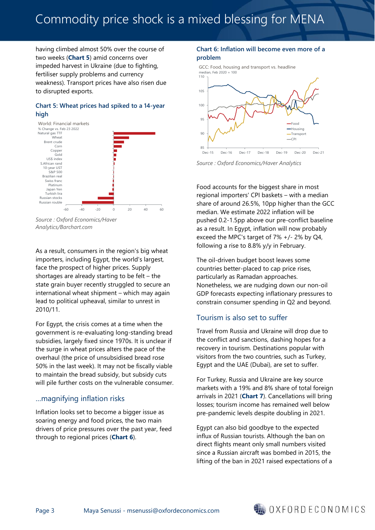# Commodity price shock is a mixed blessing for MENA

having climbed almost 50% over the course of two weeks (**Chart 5**) amid concerns over impeded harvest in Ukraine (due to fighting, fertiliser supply problems and currency weakness). Transport prices have also risen due to disrupted exports.

#### **Chart 5: Wheat prices had spiked to a 14-year high**



*Source : Oxford Economics/Haver Analytics/Barchart.com*

As a result, consumers in the region's big wheat importers, including Egypt, the world's largest, face the prospect of higher prices. Supply shortages are already starting to be felt  $-$  the state grain buyer recently struggled to secure an international wheat shipment – which may again lead to political upheaval, similar to unrest in 2010/11.

For Egypt, the crisis comes at a time when the government is re-evaluating long-standing bread subsidies, largely fixed since 1970s. It is unclear if the surge in wheat prices alters the pace of the overhaul (the price of unsubsidised bread rose 50% in the last week). It may not be fiscally viable to maintain the bread subsidy, but subsidy cuts will pile further costs on the vulnerable consumer.

### …magnifying inflation risks

Inflation looks set to become a bigger issue as soaring energy and food prices, the two main drivers of price pressures over the past year, feed through to regional prices (**Chart 6**).

#### **Chart 6: Inflation will become even more of a problem**

GCC: Food, housing and transport vs. headline median, Feb 2020 = 100



*Source : Oxford Economics/Haver Analytics*

Food accounts for the biggest share in most regional importers' CPI baskets – with a median share of around 26.5%, 10pp higher than the GCC median. We estimate 2022 inflation will be pushed 0.2-1.5pp above our pre-conflict baseline as a result. In Egypt, inflation will now probably exceed the MPC's target of 7% +/- 2% by Q4, following a rise to 8.8% y/y in February.

The oil-driven budget boost leaves some countries better-placed to cap price rises, particularly as Ramadan approaches. Nonetheless, we are nudging down our non-oil GDP forecasts expecting inflationary pressures to constrain consumer spending in Q2 and beyond.

### Tourism is also set to suffer

Travel from Russia and Ukraine will drop due to the conflict and sanctions, dashing hopes for a recovery in tourism. Destinations popular with visitors from the two countries, such as Turkey, Egypt and the UAE (Dubai), are set to suffer.

For Turkey, Russia and Ukraine are key source markets with a 19% and 8% share of total foreign arrivals in 2021 (**Chart 7**). Cancellations will bring losses; tourism income has remained well below pre-pandemic levels despite doubling in 2021.

Egypt can also bid goodbye to the expected influx of Russian tourists. Although the ban on direct flights meant only small numbers visited since a Russian aircraft was bombed in 2015, the lifting of the ban in 2021 raised expectations of a